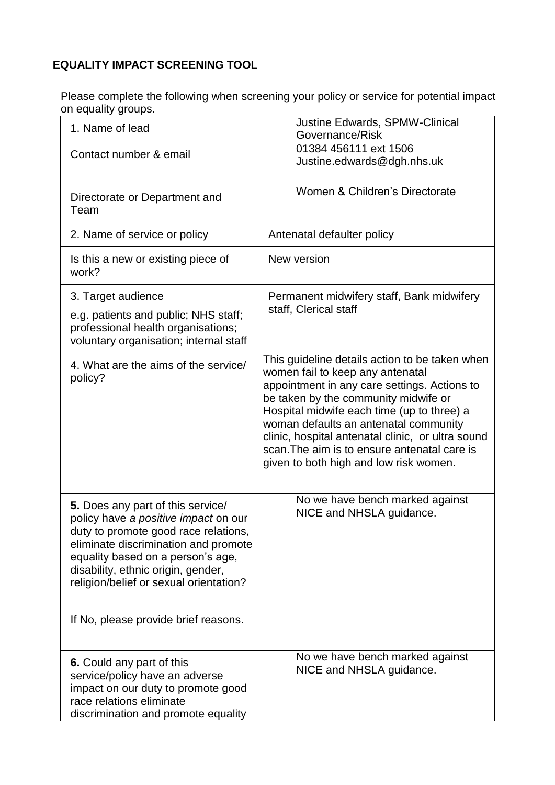## **EQUALITY IMPACT SCREENING TOOL**

Please complete the following when screening your policy or service for potential impact on equality groups.

| 1~~…, 9.~~r~.                                                                                                                                                                                                                                                                  |                                                                                                                                                                                                                                                                                                                                                                                                                  |
|--------------------------------------------------------------------------------------------------------------------------------------------------------------------------------------------------------------------------------------------------------------------------------|------------------------------------------------------------------------------------------------------------------------------------------------------------------------------------------------------------------------------------------------------------------------------------------------------------------------------------------------------------------------------------------------------------------|
| 1. Name of lead                                                                                                                                                                                                                                                                | Justine Edwards, SPMW-Clinical<br>Governance/Risk                                                                                                                                                                                                                                                                                                                                                                |
| Contact number & email                                                                                                                                                                                                                                                         | 01384 456111 ext 1506<br>Justine.edwards@dgh.nhs.uk                                                                                                                                                                                                                                                                                                                                                              |
| Directorate or Department and<br>Team                                                                                                                                                                                                                                          | Women & Children's Directorate                                                                                                                                                                                                                                                                                                                                                                                   |
| 2. Name of service or policy                                                                                                                                                                                                                                                   | Antenatal defaulter policy                                                                                                                                                                                                                                                                                                                                                                                       |
| Is this a new or existing piece of<br>work?                                                                                                                                                                                                                                    | New version                                                                                                                                                                                                                                                                                                                                                                                                      |
| 3. Target audience                                                                                                                                                                                                                                                             | Permanent midwifery staff, Bank midwifery                                                                                                                                                                                                                                                                                                                                                                        |
| e.g. patients and public; NHS staff;<br>professional health organisations;<br>voluntary organisation; internal staff                                                                                                                                                           | staff, Clerical staff                                                                                                                                                                                                                                                                                                                                                                                            |
| 4. What are the aims of the service/<br>policy?                                                                                                                                                                                                                                | This guideline details action to be taken when<br>women fail to keep any antenatal<br>appointment in any care settings. Actions to<br>be taken by the community midwife or<br>Hospital midwife each time (up to three) a<br>woman defaults an antenatal community<br>clinic, hospital antenatal clinic, or ultra sound<br>scan. The aim is to ensure antenatal care is<br>given to both high and low risk women. |
| 5. Does any part of this service/<br>policy have a positive impact on our<br>duty to promote good race relations,<br>eliminate discrimination and promote<br>equality based on a person's age,<br>disability, ethnic origin, gender,<br>religion/belief or sexual orientation? | No we have bench marked against<br>NICE and NHSLA guidance.                                                                                                                                                                                                                                                                                                                                                      |
| If No, please provide brief reasons.                                                                                                                                                                                                                                           |                                                                                                                                                                                                                                                                                                                                                                                                                  |
| 6. Could any part of this<br>service/policy have an adverse<br>impact on our duty to promote good<br>race relations eliminate<br>discrimination and promote equality                                                                                                           | No we have bench marked against<br>NICE and NHSLA guidance.                                                                                                                                                                                                                                                                                                                                                      |